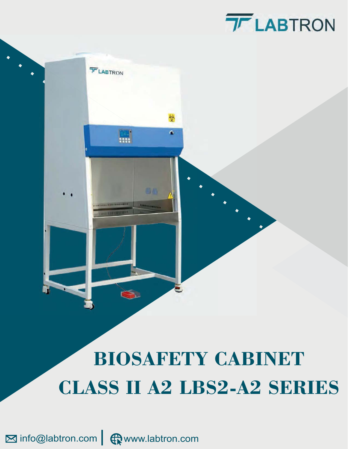# **TF LABTRON**



# **BIOSAFETY CABINET CLASS II A2 LBS2-A2 SERIES**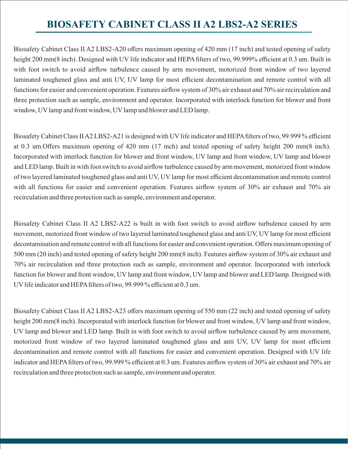# **BIOSAFETY CABINET CLASS II A2 LBS2-A2 SERIES**

Biosafety Cabinet Class II A2 LBS2-A20 offers maximum opening of 420 mm (17 inch) and tested opening of safety height 200 mm(8 inch). Designed with UV life indicator and HEPA filters of two, 99.999% efficient at 0.3 um. Built in with foot switch to avoid airflow turbulence caused by arm movement, motorized front window of two layered laminated toughened glass and anti UV, UV lamp for most efficient decontamination and remote control with all functions for easier and convenient operation. Features airflow system of 30% air exhaust and 70% air recirculation and three protection such as sample, environment and operator. Incorporated with interlock function for blower and front window, UV lamp and front window, UV lamp and blower and LED lamp.

Biosafety Cabinet Class II A2 LBS2-A21 is designed with UV life indicator and HEPA filters of two, 99.999 % efficient at 0.3 um. Offers maximum opening of 420 mm (17 inch) and tested opening of safety height 200 mm(8 inch). Incorporated with interlock function for blower and front window, UV lamp and front window, UV lamp and blower and LED lamp. Built in with foot switch to avoid airflow turbulence caused by arm movement, motorized front window of two layered laminated toughened glass and anti UV, UV lamp for most efficient decontamination and remote control with all functions for easier and convenient operation. Features airflow system of 30% air exhaust and 70% air recirculation and three protection such as sample, environment and operator.

Biosafety Cabinet Class II A2 LBS2-A22 is built in with foot switch to avoid airflow turbulence caused by arm movement, motorized front window of two layered laminated toughened glass and anti UV, UV lamp for most efficient decontamination and remote control with all functions for easier and convenient operation. Offers maximum opening of 500 mm (20 inch) and tested opening of safety height 200 mm(8 inch). Features airflow system of 30% air exhaust and 70% air recirculation and three protection such as sample, environment and operator. Incorporated with interlock function for blower and front window, UV lamp and front window, UV lamp and blower and LED lamp. Designed with UV life indicator and HEPA filters of two, 99.999 % efficient at 0.3 um.

Biosafety Cabinet Class II A2 LBS2-A23 offers maximum opening of 550 mm (22 inch) and tested opening of safety height 200 mm(8 inch). Incorporated with interlock function for blower and front window, UV lamp and front window, UV lamp and blower and LED lamp. Built in with foot switch to avoid airflow turbulence caused by arm movement, motorized front window of two layered laminated toughened glass and anti UV, UV lamp for most efficient decontamination and remote control with all functions for easier and convenient operation. Designed with UV life indicator and HEPA filters of two, 99.999 % efficient at 0.3 um. Features airflow system of 30% air exhaust and 70% air recirculation and three protection such as sample, environment and operator.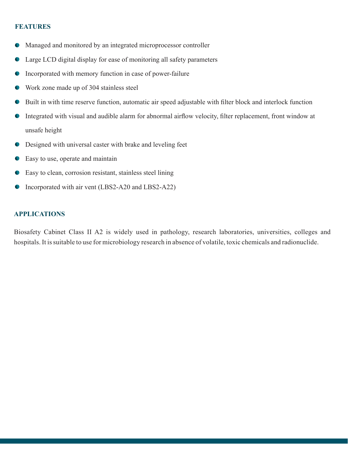#### **FEATURES**

- Managed and monitored by an integrated microprocessor controller  $\bullet$
- Large LCD digital display for ease of monitoring all safety parameters  $\bullet$
- Incorporated with memory function in case of power-failure  $\bullet$
- Work zone made up of 304 stainless steel  $\bullet$
- $\bullet$ Built in with time reserve function, automatic air speed adjustable with filter block and interlock function
- Integrated with visual and audible alarm for abnormal airflow velocity, filter replacement, front window at  $\bullet$ unsafe height
- Designed with universal caster with brake and leveling feet  $\bullet$
- Easy to use, operate and maintain
- Easy to clean, corrosion resistant, stainless steel lining  $\bullet$
- Incorporated with air vent (LBS2-A20 and LBS2-A22)  $\bullet$

#### **APPLICATIONS**

Biosafety Cabinet Class II A2 is widely used in pathology, research laboratories, universities, colleges and hospitals. It is suitable to use for microbiology research in absence of volatile, toxic chemicals and radionuclide.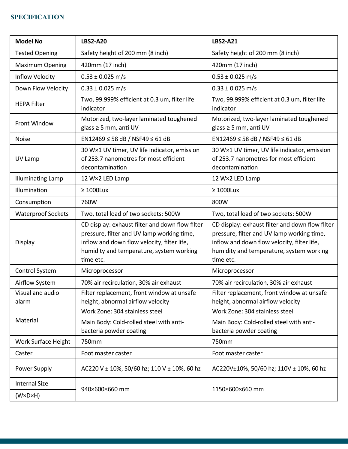## **SPECIFICATION**

| <b>Model No</b>           | <b>LBS2-A20</b>                                                                                                                                                                                       | <b>LBS2-A21</b>                                                                                                                                                                                       |
|---------------------------|-------------------------------------------------------------------------------------------------------------------------------------------------------------------------------------------------------|-------------------------------------------------------------------------------------------------------------------------------------------------------------------------------------------------------|
| <b>Tested Opening</b>     | Safety height of 200 mm (8 inch)                                                                                                                                                                      | Safety height of 200 mm (8 inch)                                                                                                                                                                      |
| <b>Maximum Opening</b>    | 420mm (17 inch)                                                                                                                                                                                       | 420mm (17 inch)                                                                                                                                                                                       |
| <b>Inflow Velocity</b>    | $0.53 \pm 0.025$ m/s                                                                                                                                                                                  | $0.53 \pm 0.025$ m/s                                                                                                                                                                                  |
| Down Flow Velocity        | $0.33 \pm 0.025$ m/s                                                                                                                                                                                  | $0.33 \pm 0.025$ m/s                                                                                                                                                                                  |
| <b>HEPA Filter</b>        | Two, 99.999% efficient at 0.3 um, filter life<br>indicator                                                                                                                                            | Two, 99.999% efficient at 0.3 um, filter life<br>indicator                                                                                                                                            |
| <b>Front Window</b>       | Motorized, two-layer laminated toughened<br>glass ≥ 5 mm, anti UV                                                                                                                                     | Motorized, two-layer laminated toughened<br>glass $\geq$ 5 mm, anti UV                                                                                                                                |
| <b>Noise</b>              | EN12469 ≤ 58 dB / NSF49 ≤ 61 dB                                                                                                                                                                       | EN12469 ≤ 58 dB / NSF49 ≤ 61 dB                                                                                                                                                                       |
| UV Lamp                   | 30 W×1 UV timer, UV life indicator, emission<br>of 253.7 nanometres for most efficient<br>decontamination                                                                                             | 30 W×1 UV timer, UV life indicator, emission<br>of 253.7 nanometres for most efficient<br>decontamination                                                                                             |
| <b>Illuminating Lamp</b>  | 12 W×2 LED Lamp                                                                                                                                                                                       | 12 W×2 LED Lamp                                                                                                                                                                                       |
| Illumination              | $\geq 1000$ Lux                                                                                                                                                                                       | $\geq 1000$ Lux                                                                                                                                                                                       |
| Consumption               | 760W                                                                                                                                                                                                  | 800W                                                                                                                                                                                                  |
| <b>Waterproof Sockets</b> | Two, total load of two sockets: 500W                                                                                                                                                                  | Two, total load of two sockets: 500W                                                                                                                                                                  |
| Display                   | CD display: exhaust filter and down flow filter<br>pressure, filter and UV lamp working time,<br>inflow and down flow velocity, filter life,<br>humidity and temperature, system working<br>time etc. | CD display: exhaust filter and down flow filter<br>pressure, filter and UV lamp working time,<br>inflow and down flow velocity, filter life,<br>humidity and temperature, system working<br>time etc. |
| <b>Control System</b>     | Microprocessor                                                                                                                                                                                        | Microprocessor                                                                                                                                                                                        |
| Airflow System            | 70% air recirculation, 30% air exhaust                                                                                                                                                                | 70% air recirculation, 30% air exhaust                                                                                                                                                                |
| Visual and audio<br>alarm | Filter replacement, front window at unsafe<br>height, abnormal airflow velocity                                                                                                                       | Filter replacement, front window at unsafe<br>height, abnormal airflow velocity                                                                                                                       |
|                           | Work Zone: 304 stainless steel                                                                                                                                                                        | Work Zone: 304 stainless steel                                                                                                                                                                        |
| Material                  | Main Body: Cold-rolled steel with anti-<br>bacteria powder coating                                                                                                                                    | Main Body: Cold-rolled steel with anti-<br>bacteria powder coating                                                                                                                                    |
| Work Surface Height       | 750mm                                                                                                                                                                                                 | 750mm                                                                                                                                                                                                 |
| Caster                    | Foot master caster                                                                                                                                                                                    | Foot master caster                                                                                                                                                                                    |
| Power Supply              | AC220 V ± 10%, 50/60 hz; 110 V ± 10%, 60 hz                                                                                                                                                           | AC220V±10%, 50/60 hz; 110V ± 10%, 60 hz                                                                                                                                                               |
| <b>Internal Size</b>      | 940×600×660 mm                                                                                                                                                                                        | 1150×600×660 mm                                                                                                                                                                                       |
| (W×D×H)                   |                                                                                                                                                                                                       |                                                                                                                                                                                                       |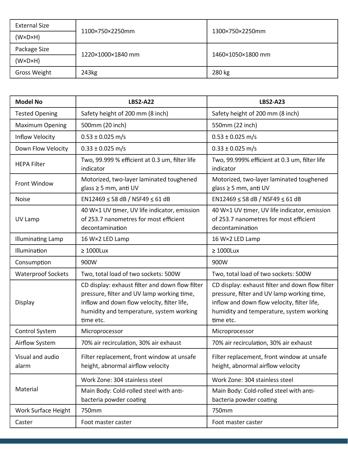| <b>External Size</b> | 1100×750×2250mm   | 1300×750×2250mm   |
|----------------------|-------------------|-------------------|
| (W×D×H)              |                   |                   |
| Package Size         | 1220×1000×1840 mm | 1460×1050×1800 mm |
| (W×D×H)              |                   |                   |
| Gross Weight         | 243kg             | 280 kg            |

| <b>Model No</b>           | <b>LBS2-A22</b>                                                                                                                                                                                       | <b>LBS2-A23</b>                                                                                                                                                                                       |
|---------------------------|-------------------------------------------------------------------------------------------------------------------------------------------------------------------------------------------------------|-------------------------------------------------------------------------------------------------------------------------------------------------------------------------------------------------------|
| <b>Tested Opening</b>     | Safety height of 200 mm (8 inch)                                                                                                                                                                      | Safety height of 200 mm (8 inch)                                                                                                                                                                      |
| <b>Maximum Opening</b>    | 500mm (20 inch)                                                                                                                                                                                       | 550mm (22 inch)                                                                                                                                                                                       |
| Inflow Velocity           | $0.53 \pm 0.025$ m/s                                                                                                                                                                                  | $0.53 \pm 0.025$ m/s                                                                                                                                                                                  |
| Down Flow Velocity        | $0.33 \pm 0.025$ m/s                                                                                                                                                                                  | $0.33 \pm 0.025$ m/s                                                                                                                                                                                  |
| <b>HEPA Filter</b>        | Two, 99.999 % efficient at 0.3 um, filter life<br>indicator                                                                                                                                           | Two, 99.999% efficient at 0.3 um, filter life<br>indicator                                                                                                                                            |
| Front Window              | Motorized, two-layer laminated toughened<br>glass $\geq$ 5 mm, anti UV                                                                                                                                | Motorized, two-layer laminated toughened<br>glass $\geq$ 5 mm, anti UV                                                                                                                                |
| <b>Noise</b>              | EN12469 ≤ 58 dB / NSF49 ≤ 61 dB                                                                                                                                                                       | EN12469 ≤ 58 dB / NSF49 ≤ 61 dB                                                                                                                                                                       |
| UV Lamp                   | 40 W×1 UV timer, UV life indicator, emission<br>of 253.7 nanometres for most efficient<br>decontamination                                                                                             | 40 W×1 UV timer, UV life indicator, emission<br>of 253.7 nanometres for most efficient<br>decontamination                                                                                             |
| <b>Illuminating Lamp</b>  | 16 W×2 LED Lamp                                                                                                                                                                                       | 16 W×2 LED Lamp                                                                                                                                                                                       |
| Illumination              | $\geq 1000$ Lux                                                                                                                                                                                       | $\geq 1000$ Lux                                                                                                                                                                                       |
| Consumption               | 900W                                                                                                                                                                                                  | 900W                                                                                                                                                                                                  |
| <b>Waterproof Sockets</b> | Two, total load of two sockets: 500W                                                                                                                                                                  | Two, total load of two sockets: 500W                                                                                                                                                                  |
| Display                   | CD display: exhaust filter and down flow filter<br>pressure, filter and UV lamp working time,<br>inflow and down flow velocity, filter life,<br>humidity and temperature, system working<br>time etc. | CD display: exhaust filter and down flow filter<br>pressure, filter and UV lamp working time,<br>inflow and down flow velocity, filter life,<br>humidity and temperature, system working<br>time etc. |
| Control System            | Microprocessor                                                                                                                                                                                        | Microprocessor                                                                                                                                                                                        |
| Airflow System            | 70% air recirculation, 30% air exhaust                                                                                                                                                                | 70% air recirculation, 30% air exhaust                                                                                                                                                                |
| Visual and audio<br>alarm | Filter replacement, front window at unsafe<br>height, abnormal airflow velocity                                                                                                                       | Filter replacement, front window at unsafe<br>height, abnormal airflow velocity                                                                                                                       |
| Material                  | Work Zone: 304 stainless steel                                                                                                                                                                        | Work Zone: 304 stainless steel                                                                                                                                                                        |
|                           | Main Body: Cold-rolled steel with anti-<br>bacteria powder coating                                                                                                                                    | Main Body: Cold-rolled steel with anti-<br>bacteria powder coating                                                                                                                                    |
| Work Surface Height       | 750mm                                                                                                                                                                                                 | 750mm                                                                                                                                                                                                 |
| Caster                    | Foot master caster                                                                                                                                                                                    | Foot master caster                                                                                                                                                                                    |